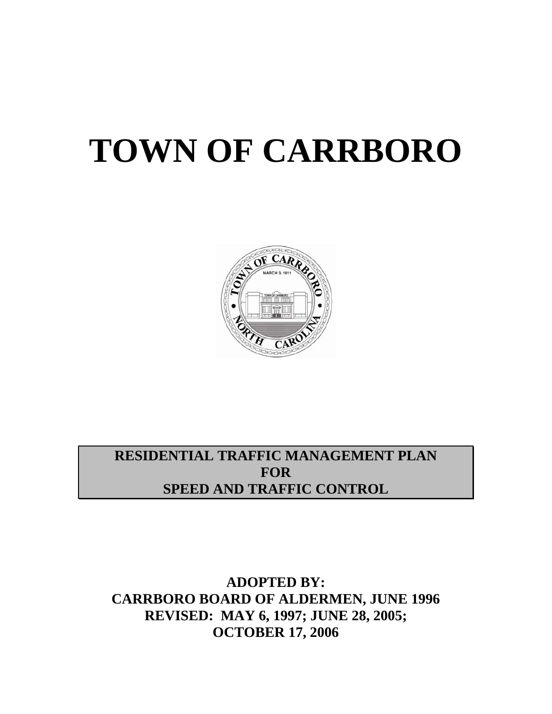# **TOWN OF CARRBORO**



**RESIDENTIAL TRAFFIC MANAGEMENT PLAN FOR SPEED AND TRAFFIC CONTROL** 

**ADOPTED BY: CARRBORO BOARD OF ALDERMEN, JUNE 1996 REVISED: MAY 6, 1997; JUNE 28, 2005; OCTOBER 17, 2006**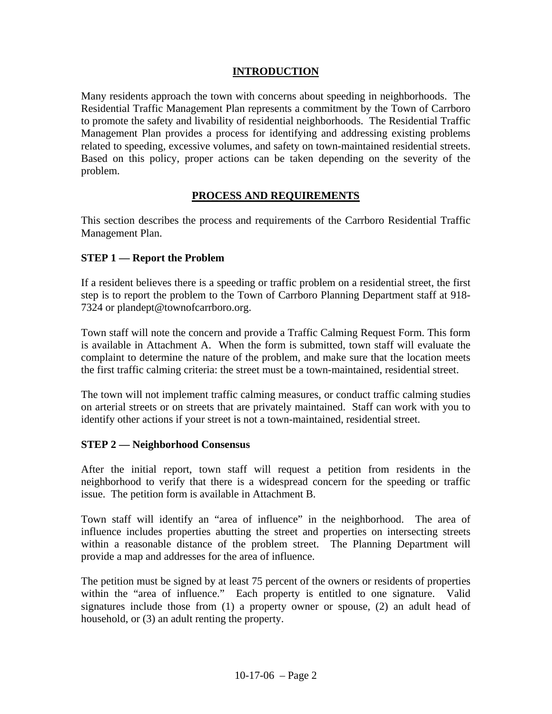#### **INTRODUCTION**

Many residents approach the town with concerns about speeding in neighborhoods. The Residential Traffic Management Plan represents a commitment by the Town of Carrboro to promote the safety and livability of residential neighborhoods. The Residential Traffic Management Plan provides a process for identifying and addressing existing problems related to speeding, excessive volumes, and safety on town-maintained residential streets. Based on this policy, proper actions can be taken depending on the severity of the problem.

## **PROCESS AND REQUIREMENTS**

This section describes the process and requirements of the Carrboro Residential Traffic Management Plan.

#### **STEP 1 — Report the Problem**

If a resident believes there is a speeding or traffic problem on a residential street, the first step is to report the problem to the Town of Carrboro Planning Department staff at 918- 7324 or [plandept@townofcarrboro.org](mailto:plandept@townofcarrboro.org).

Town staff will note the concern and provide a Traffic Calming Request Form. This form is available in Attachment A. When the form is submitted, town staff will evaluate the complaint to determine the nature of the problem, and make sure that the location meets the first traffic calming criteria: the street must be a town-maintained, residential street.

The town will not implement traffic calming measures, or conduct traffic calming studies on arterial streets or on streets that are privately maintained. Staff can work with you to identify other actions if your street is not a town-maintained, residential street.

#### **STEP 2 — Neighborhood Consensus**

After the initial report, town staff will request a petition from residents in the neighborhood to verify that there is a widespread concern for the speeding or traffic issue. The petition form is available in Attachment B.

Town staff will identify an "area of influence" in the neighborhood. The area of influence includes properties abutting the street and properties on intersecting streets within a reasonable distance of the problem street. The Planning Department will provide a map and addresses for the area of influence.

The petition must be signed by at least 75 percent of the owners or residents of properties within the "area of influence." Each property is entitled to one signature. Valid signatures include those from (1) a property owner or spouse, (2) an adult head of household, or (3) an adult renting the property.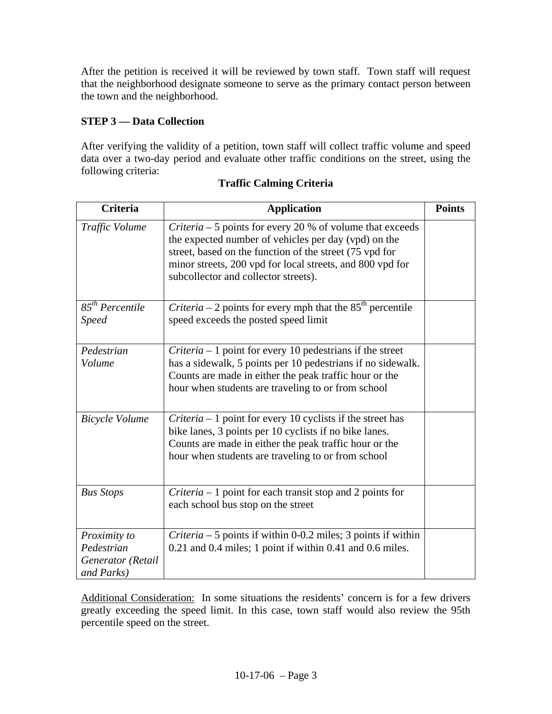After the petition is received it will be reviewed by town staff. Town staff will request that the neighborhood designate someone to serve as the primary contact person between the town and the neighborhood.

# **STEP 3 — Data Collection**

After verifying the validity of a petition, town staff will collect traffic volume and speed data over a two-day period and evaluate other traffic conditions on the street, using the following criteria:

| <b>Criteria</b>                                               | <b>Application</b>                                                                                                                                                                                                                                                                        | <b>Points</b> |
|---------------------------------------------------------------|-------------------------------------------------------------------------------------------------------------------------------------------------------------------------------------------------------------------------------------------------------------------------------------------|---------------|
| Traffic Volume                                                | <i>Criteria</i> $-5$ points for every 20 % of volume that exceeds<br>the expected number of vehicles per day (vpd) on the<br>street, based on the function of the street (75 vpd for<br>minor streets, 200 vpd for local streets, and 800 vpd for<br>subcollector and collector streets). |               |
| $85^{th}$ Percentile<br><b>Speed</b>                          | <i>Criteria</i> – 2 points for every mph that the $85th$ percentile<br>speed exceeds the posted speed limit                                                                                                                                                                               |               |
| Pedestrian<br>Volume                                          | <i>Criteria</i> $-1$ point for every 10 pedestrians if the street<br>has a sidewalk, 5 points per 10 pedestrians if no sidewalk.<br>Counts are made in either the peak traffic hour or the<br>hour when students are traveling to or from school                                          |               |
| <b>Bicycle Volume</b>                                         | <i>Criteria</i> $-1$ point for every 10 cyclists if the street has<br>bike lanes, 3 points per 10 cyclists if no bike lanes.<br>Counts are made in either the peak traffic hour or the<br>hour when students are traveling to or from school                                              |               |
| <b>Bus Stops</b>                                              | <i>Criteria</i> – 1 point for each transit stop and 2 points for<br>each school bus stop on the street                                                                                                                                                                                    |               |
| Proximity to<br>Pedestrian<br>Generator (Retail<br>and Parks) | <i>Criteria</i> $-5$ points if within 0-0.2 miles; 3 points if within<br>0.21 and 0.4 miles; 1 point if within 0.41 and 0.6 miles.                                                                                                                                                        |               |

# **Traffic Calming Criteria**

Additional Consideration: In some situations the residents' concern is for a few drivers greatly exceeding the speed limit. In this case, town staff would also review the 95th percentile speed on the street.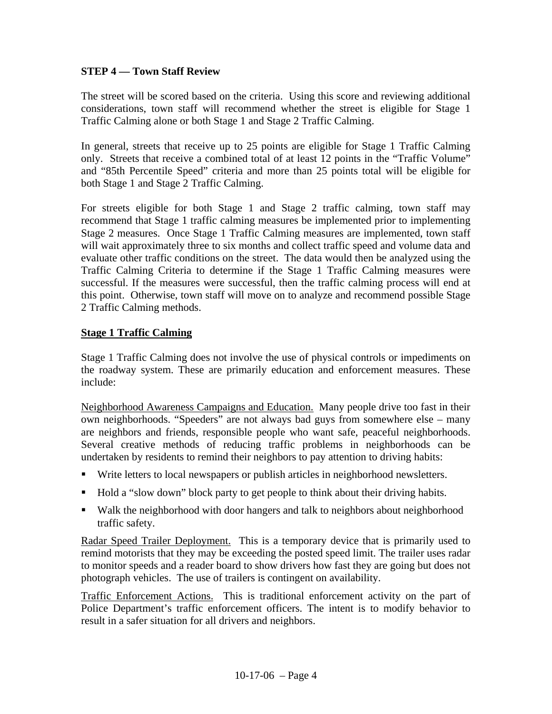#### **STEP 4 — Town Staff Review**

The street will be scored based on the criteria. Using this score and reviewing additional considerations, town staff will recommend whether the street is eligible for Stage 1 Traffic Calming alone or both Stage 1 and Stage 2 Traffic Calming.

In general, streets that receive up to 25 points are eligible for Stage 1 Traffic Calming only. Streets that receive a combined total of at least 12 points in the "Traffic Volume" and "85th Percentile Speed" criteria and more than 25 points total will be eligible for both Stage 1 and Stage 2 Traffic Calming.

For streets eligible for both Stage 1 and Stage 2 traffic calming, town staff may recommend that Stage 1 traffic calming measures be implemented prior to implementing Stage 2 measures. Once Stage 1 Traffic Calming measures are implemented, town staff will wait approximately three to six months and collect traffic speed and volume data and evaluate other traffic conditions on the street. The data would then be analyzed using the Traffic Calming Criteria to determine if the Stage 1 Traffic Calming measures were successful. If the measures were successful, then the traffic calming process will end at this point. Otherwise, town staff will move on to analyze and recommend possible Stage 2 Traffic Calming methods.

#### **Stage 1 Traffic Calming**

Stage 1 Traffic Calming does not involve the use of physical controls or impediments on the roadway system. These are primarily education and enforcement measures. These include:

Neighborhood Awareness Campaigns and Education. Many people drive too fast in their own neighborhoods. "Speeders" are not always bad guys from somewhere else – many are neighbors and friends, responsible people who want safe, peaceful neighborhoods. Several creative methods of reducing traffic problems in neighborhoods can be undertaken by residents to remind their neighbors to pay attention to driving habits:

- Write letters to local newspapers or publish articles in neighborhood newsletters.
- Hold a "slow down" block party to get people to think about their driving habits.
- Walk the neighborhood with door hangers and talk to neighbors about neighborhood traffic safety.

Radar Speed Trailer Deployment. This is a temporary device that is primarily used to remind motorists that they may be exceeding the posted speed limit. The trailer uses radar to monitor speeds and a reader board to show drivers how fast they are going but does not photograph vehicles. The use of trailers is contingent on availability.

Traffic Enforcement Actions. This is traditional enforcement activity on the part of Police Department's traffic enforcement officers. The intent is to modify behavior to result in a safer situation for all drivers and neighbors.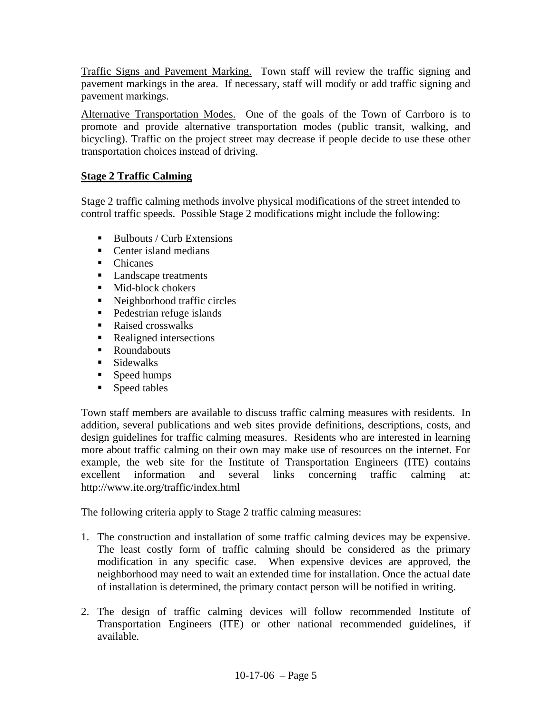Traffic Signs and Pavement Marking. Town staff will review the traffic signing and pavement markings in the area. If necessary, staff will modify or add traffic signing and pavement markings.

Alternative Transportation Modes. One of the goals of the Town of Carrboro is to promote and provide alternative transportation modes (public transit, walking, and bicycling). Traffic on the project street may decrease if people decide to use these other transportation choices instead of driving.

## **Stage 2 Traffic Calming**

Stage 2 traffic calming methods involve physical modifications of the street intended to control traffic speeds. Possible Stage 2 modifications might include the following:

- $\blacksquare$  Bulbouts / Curb Extensions
- Center island medians
- Chicanes
- **Landscape treatments**
- Mid-block chokers
- Neighborhood traffic circles
- Pedestrian refuge islands
- Raised crosswalks
- Realigned intersections
- Roundabouts
- **Sidewalks**
- **Speed humps**
- **Speed tables**

Town staff members are available to discuss traffic calming measures with residents. In addition, several publications and web sites provide definitions, descriptions, costs, and design guidelines for traffic calming measures. Residents who are interested in learning more about traffic calming on their own may make use of resources on the internet. For example, the web site for the Institute of Transportation Engineers (ITE) contains excellent information and several links concerning traffic calming at: http://www.ite.org/traffic/index.html

The following criteria apply to Stage 2 traffic calming measures:

- 1. The construction and installation of some traffic calming devices may be expensive. The least costly form of traffic calming should be considered as the primary modification in any specific case. When expensive devices are approved, the neighborhood may need to wait an extended time for installation. Once the actual date of installation is determined, the primary contact person will be notified in writing.
- 2. The design of traffic calming devices will follow recommended Institute of Transportation Engineers (ITE) or other national recommended guidelines, if available.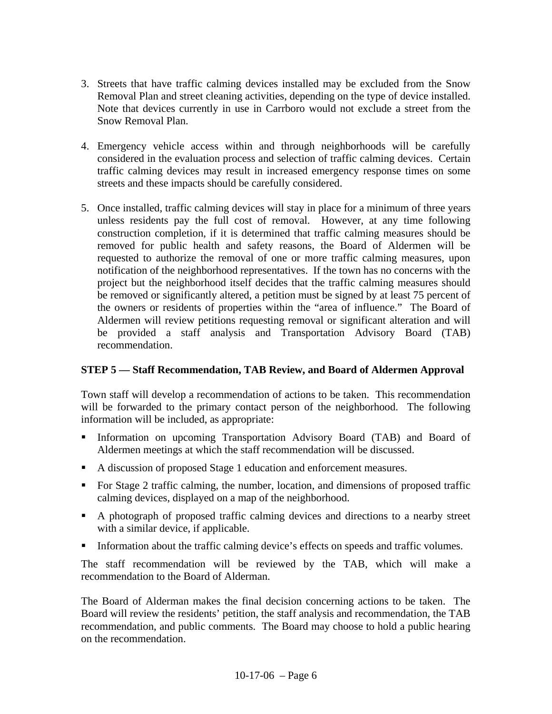- 3. Streets that have traffic calming devices installed may be excluded from the Snow Removal Plan and street cleaning activities, depending on the type of device installed. Note that devices currently in use in Carrboro would not exclude a street from the Snow Removal Plan.
- 4. Emergency vehicle access within and through neighborhoods will be carefully considered in the evaluation process and selection of traffic calming devices. Certain traffic calming devices may result in increased emergency response times on some streets and these impacts should be carefully considered.
- 5. Once installed, traffic calming devices will stay in place for a minimum of three years unless residents pay the full cost of removal. However, at any time following construction completion, if it is determined that traffic calming measures should be removed for public health and safety reasons, the Board of Aldermen will be requested to authorize the removal of one or more traffic calming measures, upon notification of the neighborhood representatives. If the town has no concerns with the project but the neighborhood itself decides that the traffic calming measures should be removed or significantly altered, a petition must be signed by at least 75 percent of the owners or residents of properties within the "area of influence." The Board of Aldermen will review petitions requesting removal or significant alteration and will be provided a staff analysis and Transportation Advisory Board (TAB) recommendation.

#### **STEP 5 — Staff Recommendation, TAB Review, and Board of Aldermen Approval**

Town staff will develop a recommendation of actions to be taken. This recommendation will be forwarded to the primary contact person of the neighborhood. The following information will be included, as appropriate:

- Information on upcoming Transportation Advisory Board (TAB) and Board of Aldermen meetings at which the staff recommendation will be discussed.
- A discussion of proposed Stage 1 education and enforcement measures.
- For Stage 2 traffic calming, the number, location, and dimensions of proposed traffic calming devices, displayed on a map of the neighborhood.
- A photograph of proposed traffic calming devices and directions to a nearby street with a similar device, if applicable.
- Information about the traffic calming device's effects on speeds and traffic volumes.

The staff recommendation will be reviewed by the TAB, which will make a recommendation to the Board of Alderman.

The Board of Alderman makes the final decision concerning actions to be taken. The Board will review the residents' petition, the staff analysis and recommendation, the TAB recommendation, and public comments. The Board may choose to hold a public hearing on the recommendation.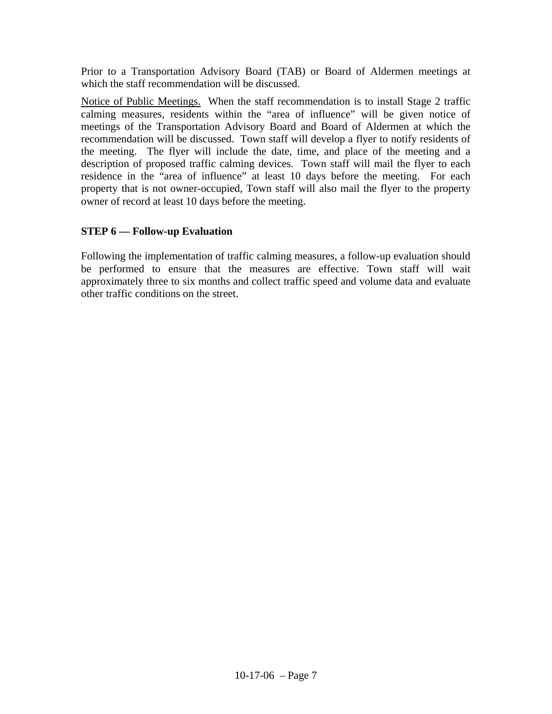Prior to a Transportation Advisory Board (TAB) or Board of Aldermen meetings at which the staff recommendation will be discussed.

Notice of Public Meetings.When the staff recommendation is to install Stage 2 traffic calming measures, residents within the "area of influence" will be given notice of meetings of the Transportation Advisory Board and Board of Aldermen at which the recommendation will be discussed. Town staff will develop a flyer to notify residents of the meeting. The flyer will include the date, time, and place of the meeting and a description of proposed traffic calming devices. Town staff will mail the flyer to each residence in the "area of influence" at least 10 days before the meeting. For each property that is not owner-occupied, Town staff will also mail the flyer to the property owner of record at least 10 days before the meeting.

#### **STEP 6 — Follow-up Evaluation**

Following the implementation of traffic calming measures, a follow-up evaluation should be performed to ensure that the measures are effective. Town staff will wait approximately three to six months and collect traffic speed and volume data and evaluate other traffic conditions on the street.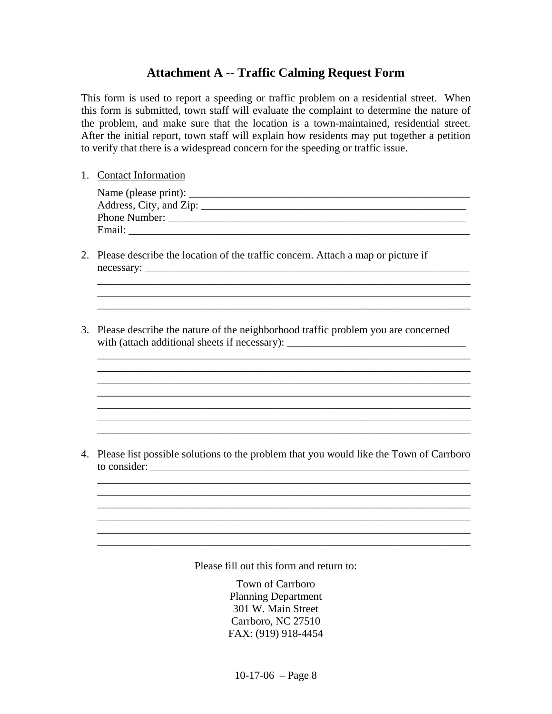# **Attachment A -- Traffic Calming Request Form**

This form is used to report a speeding or traffic problem on a residential street. When this form is submitted, town staff will evaluate the complaint to determine the nature of the problem, and make sure that the location is a town-maintained, residential street. After the initial report, town staff will explain how residents may put together a petition to verify that there is a widespread concern for the speeding or traffic issue.

1. Contact Information

| Name (please print): ______    |  |
|--------------------------------|--|
| Address, City, and Zip: ______ |  |
| Phone Number:                  |  |
| Email:                         |  |

\_\_\_\_\_\_\_\_\_\_\_\_\_\_\_\_\_\_\_\_\_\_\_\_\_\_\_\_\_\_\_\_\_\_\_\_\_\_\_\_\_\_\_\_\_\_\_\_\_\_\_\_\_\_\_\_\_\_\_\_\_\_\_\_\_\_\_\_\_  $\overline{\phantom{a}}$  ,  $\overline{\phantom{a}}$  ,  $\overline{\phantom{a}}$  ,  $\overline{\phantom{a}}$  ,  $\overline{\phantom{a}}$  ,  $\overline{\phantom{a}}$  ,  $\overline{\phantom{a}}$  ,  $\overline{\phantom{a}}$  ,  $\overline{\phantom{a}}$  ,  $\overline{\phantom{a}}$  ,  $\overline{\phantom{a}}$  ,  $\overline{\phantom{a}}$  ,  $\overline{\phantom{a}}$  ,  $\overline{\phantom{a}}$  ,  $\overline{\phantom{a}}$  ,  $\overline{\phantom{a}}$ 

\_\_\_\_\_\_\_\_\_\_\_\_\_\_\_\_\_\_\_\_\_\_\_\_\_\_\_\_\_\_\_\_\_\_\_\_\_\_\_\_\_\_\_\_\_\_\_\_\_\_\_\_\_\_\_\_\_\_\_\_\_\_\_\_\_\_\_\_\_ \_\_\_\_\_\_\_\_\_\_\_\_\_\_\_\_\_\_\_\_\_\_\_\_\_\_\_\_\_\_\_\_\_\_\_\_\_\_\_\_\_\_\_\_\_\_\_\_\_\_\_\_\_\_\_\_\_\_\_\_\_\_\_\_\_\_\_\_\_

 $\_$ 

\_\_\_\_\_\_\_\_\_\_\_\_\_\_\_\_\_\_\_\_\_\_\_\_\_\_\_\_\_\_\_\_\_\_\_\_\_\_\_\_\_\_\_\_\_\_\_\_\_\_\_\_\_\_\_\_\_\_\_\_\_\_\_\_\_\_\_\_\_

 $\mathcal{L}_\mathcal{L} = \mathcal{L}_\mathcal{L} = \mathcal{L}_\mathcal{L} = \mathcal{L}_\mathcal{L} = \mathcal{L}_\mathcal{L} = \mathcal{L}_\mathcal{L} = \mathcal{L}_\mathcal{L} = \mathcal{L}_\mathcal{L} = \mathcal{L}_\mathcal{L} = \mathcal{L}_\mathcal{L} = \mathcal{L}_\mathcal{L} = \mathcal{L}_\mathcal{L} = \mathcal{L}_\mathcal{L} = \mathcal{L}_\mathcal{L} = \mathcal{L}_\mathcal{L} = \mathcal{L}_\mathcal{L} = \mathcal{L}_\mathcal{L}$ 

- 2. Please describe the location of the traffic concern. Attach a map or picture if necessary: \_\_\_\_\_\_\_\_\_\_\_\_\_\_\_\_\_\_\_\_\_\_\_\_\_\_\_\_\_\_\_\_\_\_\_\_\_\_\_\_\_\_\_\_\_\_\_\_\_\_\_\_\_\_\_\_\_\_\_\_
- 3. Please describe the nature of the neighborhood traffic problem you are concerned with (attach additional sheets if necessary): \_\_\_\_\_\_\_\_\_\_\_\_\_\_\_\_\_\_\_\_\_\_\_\_\_\_\_\_\_\_\_\_\_\_\_

4. Please list possible solutions to the problem that you would like the Town of Carrboro to consider:

 $\overline{\phantom{a}}$  , and the contribution of the contribution of the contribution of the contribution of the contribution of the contribution of the contribution of the contribution of the contribution of the contribution of the  $\overline{\phantom{a}}$  , and the contribution of the contribution of the contribution of the contribution of the contribution of the contribution of the contribution of the contribution of the contribution of the contribution of the

 $\overline{\phantom{a}}$  ,  $\overline{\phantom{a}}$  ,  $\overline{\phantom{a}}$  ,  $\overline{\phantom{a}}$  ,  $\overline{\phantom{a}}$  ,  $\overline{\phantom{a}}$  ,  $\overline{\phantom{a}}$  ,  $\overline{\phantom{a}}$  ,  $\overline{\phantom{a}}$  ,  $\overline{\phantom{a}}$  ,  $\overline{\phantom{a}}$  ,  $\overline{\phantom{a}}$  ,  $\overline{\phantom{a}}$  ,  $\overline{\phantom{a}}$  ,  $\overline{\phantom{a}}$  ,  $\overline{\phantom{a}}$  $\overline{\phantom{a}}$  , and the contribution of the contribution of the contribution of the contribution of the contribution of the contribution of the contribution of the contribution of the contribution of the contribution of the  $\overline{\phantom{a}}$  , and the contribution of the contribution of the contribution of the contribution of the contribution of the contribution of the contribution of the contribution of the contribution of the contribution of the

 $\overline{\phantom{a}}$  , and the contribution of the contribution of the contribution of the contribution of the contribution of the contribution of the contribution of the contribution of the contribution of the contribution of the

Please fill out this form and return to:

Town of Carrboro Planning Department 301 W. Main Street Carrboro, NC 27510 FAX: (919) 918-4454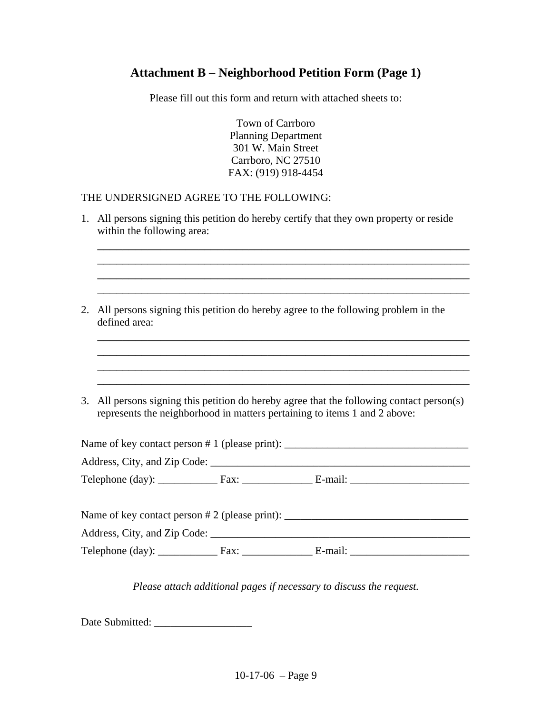# **Attachment B – Neighborhood Petition Form (Page 1)**

Please fill out this form and return with attached sheets to:

Town of Carrboro Planning Department 301 W. Main Street Carrboro, NC 27510 FAX: (919) 918-4454

#### THE UNDERSIGNED AGREE TO THE FOLLOWING:

1. All persons signing this petition do hereby certify that they own property or reside within the following area:  $\overline{\phantom{a}}$  , and the contribution of the contribution of the contribution of the contribution of the contribution of the contribution of the contribution of the contribution of the contribution of the contribution of the \_\_\_\_\_\_\_\_\_\_\_\_\_\_\_\_\_\_\_\_\_\_\_\_\_\_\_\_\_\_\_\_\_\_\_\_\_\_\_\_\_\_\_\_\_\_\_\_\_\_\_\_\_\_\_\_\_\_\_ \_\_\_\_\_\_\_\_\_\_\_\_\_\_\_\_\_\_\_\_\_\_\_\_\_\_\_\_\_\_\_\_\_\_\_\_\_\_\_\_\_\_\_\_\_\_\_\_\_\_\_\_\_\_\_\_\_\_\_ \_\_\_\_\_\_\_\_\_\_\_\_\_\_\_\_\_\_\_\_\_\_\_\_\_\_\_\_\_\_\_\_\_\_\_\_\_\_\_\_\_\_\_\_\_\_\_\_\_\_\_\_\_\_\_\_\_\_\_ 2. All persons signing this petition do hereby agree to the following problem in the defined area:  $\overline{\phantom{a}}$  , and the contribution of the contribution of the contribution of the contribution of the contribution of the contribution of the contribution of the contribution of the contribution of the contribution of the \_\_\_\_\_\_\_\_\_\_\_\_\_\_\_\_\_\_\_\_\_\_\_\_\_\_\_\_\_\_\_\_\_\_\_\_\_\_\_\_\_\_\_\_\_\_\_\_\_\_\_\_\_\_\_\_\_\_\_ \_\_\_\_\_\_\_\_\_\_\_\_\_\_\_\_\_\_\_\_\_\_\_\_\_\_\_\_\_\_\_\_\_\_\_\_\_\_\_\_\_\_\_\_\_\_\_\_\_\_\_\_\_\_\_\_\_\_\_ \_\_\_\_\_\_\_\_\_\_\_\_\_\_\_\_\_\_\_\_\_\_\_\_\_\_\_\_\_\_\_\_\_\_\_\_\_\_\_\_\_\_\_\_\_\_\_\_\_\_\_\_\_\_\_\_\_\_\_ 3. All persons signing this petition do hereby agree that the following contact person(s) represents the neighborhood in matters pertaining to items 1 and 2 above: Name of key contact person  $# 1$  (please print): Address, City, and Zip Code: Telephone  $(\text{day})$ :  $\qquad \qquad$  Fax:  $\qquad \qquad$  E-mail:  $\qquad \qquad$ Name of key contact person # 2 (please print): \_\_\_\_\_\_\_\_\_\_\_\_\_\_\_\_\_\_\_\_\_\_\_\_\_\_\_\_\_\_\_\_\_\_ Address, City, and Zip Code: Telephone (day): Fax: E-mail: *Please attach additional pages if necessary to discuss the request.* 

Date Submitted: \_\_\_\_\_\_\_\_\_\_\_\_\_\_\_\_\_\_